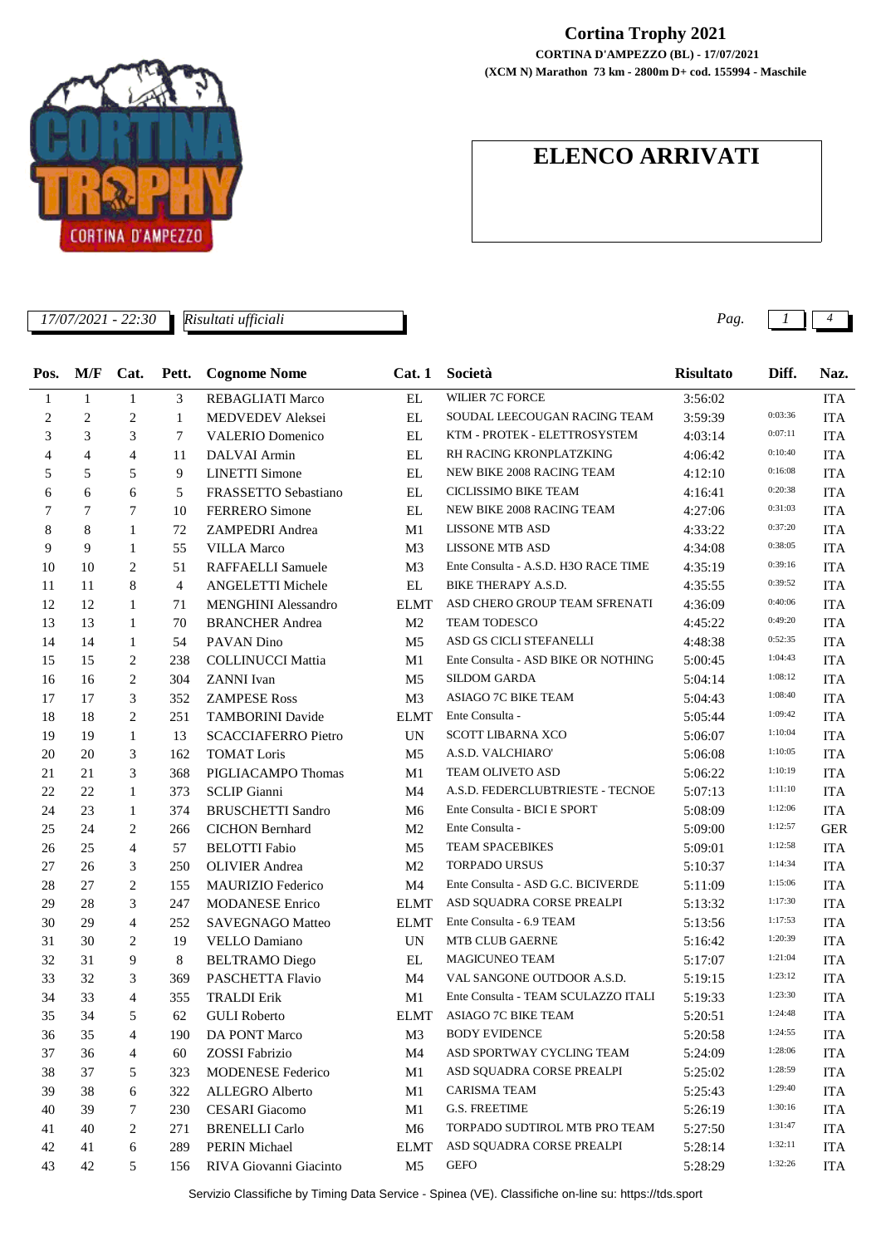

## **Cortina Trophy 2021**

**(XCM N) Marathon 73 km - 2800m D+ cod. 155994 - Maschile CORTINA D'AMPEZZO (BL) - 17/07/2021**

## **ELENCO ARRIVATI**

| M/F<br>Cat.<br>Pett.<br><b>Cognome Nome</b><br>Cat.1<br>Società<br><b>Risultato</b><br>Diff.<br>Naz.<br><b>WILIER 7C FORCE</b><br>$\mathbf{1}$<br>$\mathbf{1}$<br>3<br>$\mathop{\rm EL}$<br><b>ITA</b><br><b>REBAGLIATI Marco</b><br>3:56:02<br>1<br>0:03:36<br>$\overline{c}$<br>2<br>EL<br>SOUDAL LEECOUGAN RACING TEAM<br>2<br>1<br>MEDVEDEV Aleksei<br>3:59:39<br><b>ITA</b><br>0:07:11<br>3<br>KTM - PROTEK - ELETTROSYSTEM<br>3<br>3<br>7<br><b>VALERIO Domenico</b><br>EL<br><b>ITA</b><br>4:03:14<br>0:10:40<br>$\overline{4}$<br>$\overline{4}$<br>$\overline{4}$<br>11<br>DALVAI Armin<br>EL<br>RH RACING KRONPLATZKING<br><b>ITA</b><br>4:06:42<br>0:16:08<br>5<br>5<br><b>LINETTI Simone</b><br>NEW BIKE 2008 RACING TEAM<br>5<br>9<br>EL<br><b>ITA</b><br>4:12:10<br>0:20:38<br>CICLISSIMO BIKE TEAM<br><b>ITA</b><br>6<br>6<br>5<br>FRASSETTO Sebastiano<br>EL<br>6<br>4:16:41<br>0:31:03<br>$\tau$<br>NEW BIKE 2008 RACING TEAM<br>7<br>7<br>10<br><b>FERRERO</b> Simone<br>EL<br>4:27:06<br><b>ITA</b><br>0:37:20<br>8<br>8<br><b>LISSONE MTB ASD</b><br><b>ITA</b><br>1<br>72<br>ZAMPEDRI Andrea<br>M1<br>4:33:22<br>0:38:05<br><b>LISSONE MTB ASD</b><br>9<br>9<br><b>ITA</b><br>1<br>55<br><b>VILLA Marco</b><br>M <sub>3</sub><br>4:34:08<br>0:39:16<br>Ente Consulta - A.S.D. H3O RACE TIME<br>2<br><b>ITA</b><br>10<br>10<br>51<br>RAFFAELLI Samuele<br>M <sub>3</sub><br>4:35:19<br>0:39:52<br>8<br>$\overline{4}$<br>BIKE THERAPY A.S.D.<br>11<br>11<br>ANGELETTI Michele<br>EL<br><b>ITA</b><br>4:35:55<br>0:40:06<br>ASD CHERO GROUP TEAM SFRENATI<br>12<br>12<br>$\mathbf{1}$<br>71<br><b>MENGHINI Alessandro</b><br><b>ELMT</b><br><b>ITA</b><br>4:36:09<br>0:49:20<br>TEAM TODESCO<br>13<br>13<br>1<br>70<br><b>BRANCHER Andrea</b><br>M <sub>2</sub><br><b>ITA</b><br>4:45:22<br>0:52:35<br>ASD GS CICLI STEFANELLI<br>14<br><b>ITA</b><br>14<br>$\mathbf{1}$<br>54<br>PAVAN Dino<br>M <sub>5</sub><br>4:48:38<br>1:04:43<br>2<br>Ente Consulta - ASD BIKE OR NOTHING<br><b>ITA</b><br>15<br>15<br>238<br><b>COLLINUCCI Mattia</b><br>M1<br>5:00:45<br>1:08:12<br>SILDOM GARDA<br>2<br><b>ITA</b><br>16<br>16<br>304<br><b>ZANNI</b> Ivan<br>M <sub>5</sub><br>5:04:14<br>1:08:40<br><b>ASIAGO 7C BIKE TEAM</b><br>17<br>3<br><b>ZAMPESE Ross</b><br><b>ITA</b><br>17<br>352<br>M <sub>3</sub><br>5:04:43<br>1:09:42<br>18<br>2<br>Ente Consulta -<br><b>ITA</b><br>18<br>251<br><b>TAMBORINI Davide</b><br><b>ELMT</b><br>5:05:44<br>1:10:04<br>19<br><b>UN</b><br>SCOTT LIBARNA XCO<br><b>ITA</b><br>19<br>1<br>13<br><b>SCACCIAFERRO Pietro</b><br>5:06:07<br>1:10:05<br>3<br>A.S.D. VALCHIARO'<br>20<br>20<br>162<br><b>TOMAT Loris</b><br>M <sub>5</sub><br><b>ITA</b><br>5:06:08<br>1:10:19<br>TEAM OLIVETO ASD<br>21<br>21<br>3<br>368<br>PIGLIACAMPO Thomas<br>M1<br><b>ITA</b><br>5:06:22<br>1:11:10<br>22<br>22<br>$\mathbf{1}$<br>A.S.D. FEDERCLUBTRIESTE - TECNOE<br>373<br><b>SCLIP</b> Gianni<br>M4<br><b>ITA</b><br>5:07:13<br>1:12:06<br>24<br>Ente Consulta - BICI E SPORT<br>23<br>374<br><b>BRUSCHETTI Sandro</b><br><b>ITA</b><br>1<br>M6<br>5:08:09<br>1:12:57<br>Ente Consulta -<br>25<br>2<br><b>GER</b><br>24<br>266<br><b>CICHON</b> Bernhard<br>M <sub>2</sub><br>5:09:00<br>1:12:58<br><b>TEAM SPACEBIKES</b><br>26<br>25<br>4<br>57<br><b>BELOTTI</b> Fabio<br>M <sub>5</sub><br><b>ITA</b><br>5:09:01<br>1:14:34<br>27<br><b>TORPADO URSUS</b><br>26<br>3<br>250<br><b>OLIVIER</b> Andrea<br>M <sub>2</sub><br><b>ITA</b><br>5:10:37<br>1:15:06<br>$\mathbf{2}$<br>Ente Consulta - ASD G.C. BICIVERDE<br>28<br><b>ITA</b><br>155<br><b>MAURIZIO Federico</b><br>M4<br>27<br>5:11:09<br>1:17:30<br>29<br>28<br>3<br><b>MODANESE Enrico</b><br>ASD SQUADRA CORSE PREALPI<br><b>ITA</b><br>247<br><b>ELMT</b><br>5:13:32<br>1:17:53<br>30<br>29<br>252<br><b>ITA</b><br>$\overline{4}$<br><b>SAVEGNAGO Matteo</b><br><b>ELMT</b><br>Ente Consulta - 6.9 TEAM<br>5:13:56<br>1:20:39<br>31<br>30<br>2<br>19<br>VELLO Damiano<br><b>UN</b><br><b>MTB CLUB GAERNE</b><br><b>ITA</b><br>5:16:42<br>1:21:04<br>31<br>9<br>8<br><b>MAGICUNEO TEAM</b><br>32<br><b>BELTRAMO</b> Diego<br>EL<br><b>ITA</b><br>5:17:07<br>VAL SANGONE OUTDOOR A.S.D.<br>1:23:12<br>32<br>$\ensuremath{\mathfrak{Z}}$<br>M <sub>4</sub><br>$\rm ITA$<br>33<br>369<br>PASCHETTA Flavio<br>5:19:15<br>1:23:30<br>34<br>Ente Consulta - TEAM SCULAZZO ITALI<br><b>ITA</b><br>33<br><b>TRALDI Erik</b><br>M1<br>5:19:33<br>4<br>355<br>1:24:48<br>ASIAGO 7C BIKE TEAM<br>35<br>34<br><b>ITA</b><br>5<br>62<br><b>GULI</b> Roberto<br>ELMT<br>5:20:51<br>1:24:55<br><b>BODY EVIDENCE</b><br>DA PONT Marco<br>M3<br><b>ITA</b><br>36<br>35<br>4<br>190<br>5:20:58<br>1:28:06<br>ASD SPORTWAY CYCLING TEAM<br>37<br>ZOSSI Fabrizio<br>M4<br><b>ITA</b><br>36<br>4<br>60<br>5:24:09<br>1:28:59<br>38<br><b>MODENESE Federico</b><br>M1<br>ASD SQUADRA CORSE PREALPI<br><b>ITA</b><br>37<br>5<br>323<br>5:25:02<br>1:29:40<br>CARISMA TEAM<br>39<br>38<br>322<br>ALLEGRO Alberto<br><b>ITA</b><br>6<br>M1<br>5:25:43<br>1:30:16<br><b>G.S. FREETIME</b><br>40<br>39<br>7<br>230<br><b>CESARI</b> Giacomo<br>M1<br>5:26:19<br><b>ITA</b><br>1:31:47<br>40<br>2<br><b>BRENELLI</b> Carlo<br>TORPADO SUDTIROL MTB PRO TEAM<br>41<br>271<br>M6<br>5:27:50<br><b>ITA</b><br>1:32:11<br>42<br>PERIN Michael<br>ASD SQUADRA CORSE PREALPI<br><b>ITA</b><br>41<br>6<br>289<br><b>ELMT</b><br>5:28:14<br>1:32:26<br><b>GEFO</b><br>43<br>42<br>5<br>RIVA Giovanni Giacinto<br>M <sub>5</sub><br>5:28:29<br><b>ITA</b><br>156 | 17/07/2021 - 22:30<br>Risultati ufficiali |  |  |  |  | Pag. | 4 |
|-----------------------------------------------------------------------------------------------------------------------------------------------------------------------------------------------------------------------------------------------------------------------------------------------------------------------------------------------------------------------------------------------------------------------------------------------------------------------------------------------------------------------------------------------------------------------------------------------------------------------------------------------------------------------------------------------------------------------------------------------------------------------------------------------------------------------------------------------------------------------------------------------------------------------------------------------------------------------------------------------------------------------------------------------------------------------------------------------------------------------------------------------------------------------------------------------------------------------------------------------------------------------------------------------------------------------------------------------------------------------------------------------------------------------------------------------------------------------------------------------------------------------------------------------------------------------------------------------------------------------------------------------------------------------------------------------------------------------------------------------------------------------------------------------------------------------------------------------------------------------------------------------------------------------------------------------------------------------------------------------------------------------------------------------------------------------------------------------------------------------------------------------------------------------------------------------------------------------------------------------------------------------------------------------------------------------------------------------------------------------------------------------------------------------------------------------------------------------------------------------------------------------------------------------------------------------------------------------------------------------------------------------------------------------------------------------------------------------------------------------------------------------------------------------------------------------------------------------------------------------------------------------------------------------------------------------------------------------------------------------------------------------------------------------------------------------------------------------------------------------------------------------------------------------------------------------------------------------------------------------------------------------------------------------------------------------------------------------------------------------------------------------------------------------------------------------------------------------------------------------------------------------------------------------------------------------------------------------------------------------------------------------------------------------------------------------------------------------------------------------------------------------------------------------------------------------------------------------------------------------------------------------------------------------------------------------------------------------------------------------------------------------------------------------------------------------------------------------------------------------------------------------------------------------------------------------------------------------------------------------------------------------------------------------------------------------------------------------------------------------------------------------------------------------------------------------------------------------------------------------------------------------------------------------------------------------------------------------------------------------------------------------------------------------------------------------------------------------------------------------------------------------------------------------------------------------------------------------------------------------------------------------------------------------------------------------------------------------------------------------------------------------------------------------------------------------------------------------------------------------------------------------------------------------------------------------------------------------------------------------------------------------------------------------------------------------------------------------------------------------------------------------------------------------------------------------------------------------------------------------------------------------------------------|-------------------------------------------|--|--|--|--|------|---|
|                                                                                                                                                                                                                                                                                                                                                                                                                                                                                                                                                                                                                                                                                                                                                                                                                                                                                                                                                                                                                                                                                                                                                                                                                                                                                                                                                                                                                                                                                                                                                                                                                                                                                                                                                                                                                                                                                                                                                                                                                                                                                                                                                                                                                                                                                                                                                                                                                                                                                                                                                                                                                                                                                                                                                                                                                                                                                                                                                                                                                                                                                                                                                                                                                                                                                                                                                                                                                                                                                                                                                                                                                                                                                                                                                                                                                                                                                                                                                                                                                                                                                                                                                                                                                                                                                                                                                                                                                                                                                                                                                                                                                                                                                                                                                                                                                                                                                                                                                                                                                                                                                                                                                                                                                                                                                                                                                                                                                                                                                                                                         | Pos.                                      |  |  |  |  |      |   |
|                                                                                                                                                                                                                                                                                                                                                                                                                                                                                                                                                                                                                                                                                                                                                                                                                                                                                                                                                                                                                                                                                                                                                                                                                                                                                                                                                                                                                                                                                                                                                                                                                                                                                                                                                                                                                                                                                                                                                                                                                                                                                                                                                                                                                                                                                                                                                                                                                                                                                                                                                                                                                                                                                                                                                                                                                                                                                                                                                                                                                                                                                                                                                                                                                                                                                                                                                                                                                                                                                                                                                                                                                                                                                                                                                                                                                                                                                                                                                                                                                                                                                                                                                                                                                                                                                                                                                                                                                                                                                                                                                                                                                                                                                                                                                                                                                                                                                                                                                                                                                                                                                                                                                                                                                                                                                                                                                                                                                                                                                                                                         |                                           |  |  |  |  |      |   |
|                                                                                                                                                                                                                                                                                                                                                                                                                                                                                                                                                                                                                                                                                                                                                                                                                                                                                                                                                                                                                                                                                                                                                                                                                                                                                                                                                                                                                                                                                                                                                                                                                                                                                                                                                                                                                                                                                                                                                                                                                                                                                                                                                                                                                                                                                                                                                                                                                                                                                                                                                                                                                                                                                                                                                                                                                                                                                                                                                                                                                                                                                                                                                                                                                                                                                                                                                                                                                                                                                                                                                                                                                                                                                                                                                                                                                                                                                                                                                                                                                                                                                                                                                                                                                                                                                                                                                                                                                                                                                                                                                                                                                                                                                                                                                                                                                                                                                                                                                                                                                                                                                                                                                                                                                                                                                                                                                                                                                                                                                                                                         |                                           |  |  |  |  |      |   |
|                                                                                                                                                                                                                                                                                                                                                                                                                                                                                                                                                                                                                                                                                                                                                                                                                                                                                                                                                                                                                                                                                                                                                                                                                                                                                                                                                                                                                                                                                                                                                                                                                                                                                                                                                                                                                                                                                                                                                                                                                                                                                                                                                                                                                                                                                                                                                                                                                                                                                                                                                                                                                                                                                                                                                                                                                                                                                                                                                                                                                                                                                                                                                                                                                                                                                                                                                                                                                                                                                                                                                                                                                                                                                                                                                                                                                                                                                                                                                                                                                                                                                                                                                                                                                                                                                                                                                                                                                                                                                                                                                                                                                                                                                                                                                                                                                                                                                                                                                                                                                                                                                                                                                                                                                                                                                                                                                                                                                                                                                                                                         |                                           |  |  |  |  |      |   |
|                                                                                                                                                                                                                                                                                                                                                                                                                                                                                                                                                                                                                                                                                                                                                                                                                                                                                                                                                                                                                                                                                                                                                                                                                                                                                                                                                                                                                                                                                                                                                                                                                                                                                                                                                                                                                                                                                                                                                                                                                                                                                                                                                                                                                                                                                                                                                                                                                                                                                                                                                                                                                                                                                                                                                                                                                                                                                                                                                                                                                                                                                                                                                                                                                                                                                                                                                                                                                                                                                                                                                                                                                                                                                                                                                                                                                                                                                                                                                                                                                                                                                                                                                                                                                                                                                                                                                                                                                                                                                                                                                                                                                                                                                                                                                                                                                                                                                                                                                                                                                                                                                                                                                                                                                                                                                                                                                                                                                                                                                                                                         |                                           |  |  |  |  |      |   |
|                                                                                                                                                                                                                                                                                                                                                                                                                                                                                                                                                                                                                                                                                                                                                                                                                                                                                                                                                                                                                                                                                                                                                                                                                                                                                                                                                                                                                                                                                                                                                                                                                                                                                                                                                                                                                                                                                                                                                                                                                                                                                                                                                                                                                                                                                                                                                                                                                                                                                                                                                                                                                                                                                                                                                                                                                                                                                                                                                                                                                                                                                                                                                                                                                                                                                                                                                                                                                                                                                                                                                                                                                                                                                                                                                                                                                                                                                                                                                                                                                                                                                                                                                                                                                                                                                                                                                                                                                                                                                                                                                                                                                                                                                                                                                                                                                                                                                                                                                                                                                                                                                                                                                                                                                                                                                                                                                                                                                                                                                                                                         |                                           |  |  |  |  |      |   |
|                                                                                                                                                                                                                                                                                                                                                                                                                                                                                                                                                                                                                                                                                                                                                                                                                                                                                                                                                                                                                                                                                                                                                                                                                                                                                                                                                                                                                                                                                                                                                                                                                                                                                                                                                                                                                                                                                                                                                                                                                                                                                                                                                                                                                                                                                                                                                                                                                                                                                                                                                                                                                                                                                                                                                                                                                                                                                                                                                                                                                                                                                                                                                                                                                                                                                                                                                                                                                                                                                                                                                                                                                                                                                                                                                                                                                                                                                                                                                                                                                                                                                                                                                                                                                                                                                                                                                                                                                                                                                                                                                                                                                                                                                                                                                                                                                                                                                                                                                                                                                                                                                                                                                                                                                                                                                                                                                                                                                                                                                                                                         |                                           |  |  |  |  |      |   |
|                                                                                                                                                                                                                                                                                                                                                                                                                                                                                                                                                                                                                                                                                                                                                                                                                                                                                                                                                                                                                                                                                                                                                                                                                                                                                                                                                                                                                                                                                                                                                                                                                                                                                                                                                                                                                                                                                                                                                                                                                                                                                                                                                                                                                                                                                                                                                                                                                                                                                                                                                                                                                                                                                                                                                                                                                                                                                                                                                                                                                                                                                                                                                                                                                                                                                                                                                                                                                                                                                                                                                                                                                                                                                                                                                                                                                                                                                                                                                                                                                                                                                                                                                                                                                                                                                                                                                                                                                                                                                                                                                                                                                                                                                                                                                                                                                                                                                                                                                                                                                                                                                                                                                                                                                                                                                                                                                                                                                                                                                                                                         |                                           |  |  |  |  |      |   |
|                                                                                                                                                                                                                                                                                                                                                                                                                                                                                                                                                                                                                                                                                                                                                                                                                                                                                                                                                                                                                                                                                                                                                                                                                                                                                                                                                                                                                                                                                                                                                                                                                                                                                                                                                                                                                                                                                                                                                                                                                                                                                                                                                                                                                                                                                                                                                                                                                                                                                                                                                                                                                                                                                                                                                                                                                                                                                                                                                                                                                                                                                                                                                                                                                                                                                                                                                                                                                                                                                                                                                                                                                                                                                                                                                                                                                                                                                                                                                                                                                                                                                                                                                                                                                                                                                                                                                                                                                                                                                                                                                                                                                                                                                                                                                                                                                                                                                                                                                                                                                                                                                                                                                                                                                                                                                                                                                                                                                                                                                                                                         |                                           |  |  |  |  |      |   |
|                                                                                                                                                                                                                                                                                                                                                                                                                                                                                                                                                                                                                                                                                                                                                                                                                                                                                                                                                                                                                                                                                                                                                                                                                                                                                                                                                                                                                                                                                                                                                                                                                                                                                                                                                                                                                                                                                                                                                                                                                                                                                                                                                                                                                                                                                                                                                                                                                                                                                                                                                                                                                                                                                                                                                                                                                                                                                                                                                                                                                                                                                                                                                                                                                                                                                                                                                                                                                                                                                                                                                                                                                                                                                                                                                                                                                                                                                                                                                                                                                                                                                                                                                                                                                                                                                                                                                                                                                                                                                                                                                                                                                                                                                                                                                                                                                                                                                                                                                                                                                                                                                                                                                                                                                                                                                                                                                                                                                                                                                                                                         |                                           |  |  |  |  |      |   |
|                                                                                                                                                                                                                                                                                                                                                                                                                                                                                                                                                                                                                                                                                                                                                                                                                                                                                                                                                                                                                                                                                                                                                                                                                                                                                                                                                                                                                                                                                                                                                                                                                                                                                                                                                                                                                                                                                                                                                                                                                                                                                                                                                                                                                                                                                                                                                                                                                                                                                                                                                                                                                                                                                                                                                                                                                                                                                                                                                                                                                                                                                                                                                                                                                                                                                                                                                                                                                                                                                                                                                                                                                                                                                                                                                                                                                                                                                                                                                                                                                                                                                                                                                                                                                                                                                                                                                                                                                                                                                                                                                                                                                                                                                                                                                                                                                                                                                                                                                                                                                                                                                                                                                                                                                                                                                                                                                                                                                                                                                                                                         |                                           |  |  |  |  |      |   |
|                                                                                                                                                                                                                                                                                                                                                                                                                                                                                                                                                                                                                                                                                                                                                                                                                                                                                                                                                                                                                                                                                                                                                                                                                                                                                                                                                                                                                                                                                                                                                                                                                                                                                                                                                                                                                                                                                                                                                                                                                                                                                                                                                                                                                                                                                                                                                                                                                                                                                                                                                                                                                                                                                                                                                                                                                                                                                                                                                                                                                                                                                                                                                                                                                                                                                                                                                                                                                                                                                                                                                                                                                                                                                                                                                                                                                                                                                                                                                                                                                                                                                                                                                                                                                                                                                                                                                                                                                                                                                                                                                                                                                                                                                                                                                                                                                                                                                                                                                                                                                                                                                                                                                                                                                                                                                                                                                                                                                                                                                                                                         |                                           |  |  |  |  |      |   |
|                                                                                                                                                                                                                                                                                                                                                                                                                                                                                                                                                                                                                                                                                                                                                                                                                                                                                                                                                                                                                                                                                                                                                                                                                                                                                                                                                                                                                                                                                                                                                                                                                                                                                                                                                                                                                                                                                                                                                                                                                                                                                                                                                                                                                                                                                                                                                                                                                                                                                                                                                                                                                                                                                                                                                                                                                                                                                                                                                                                                                                                                                                                                                                                                                                                                                                                                                                                                                                                                                                                                                                                                                                                                                                                                                                                                                                                                                                                                                                                                                                                                                                                                                                                                                                                                                                                                                                                                                                                                                                                                                                                                                                                                                                                                                                                                                                                                                                                                                                                                                                                                                                                                                                                                                                                                                                                                                                                                                                                                                                                                         |                                           |  |  |  |  |      |   |
|                                                                                                                                                                                                                                                                                                                                                                                                                                                                                                                                                                                                                                                                                                                                                                                                                                                                                                                                                                                                                                                                                                                                                                                                                                                                                                                                                                                                                                                                                                                                                                                                                                                                                                                                                                                                                                                                                                                                                                                                                                                                                                                                                                                                                                                                                                                                                                                                                                                                                                                                                                                                                                                                                                                                                                                                                                                                                                                                                                                                                                                                                                                                                                                                                                                                                                                                                                                                                                                                                                                                                                                                                                                                                                                                                                                                                                                                                                                                                                                                                                                                                                                                                                                                                                                                                                                                                                                                                                                                                                                                                                                                                                                                                                                                                                                                                                                                                                                                                                                                                                                                                                                                                                                                                                                                                                                                                                                                                                                                                                                                         |                                           |  |  |  |  |      |   |
|                                                                                                                                                                                                                                                                                                                                                                                                                                                                                                                                                                                                                                                                                                                                                                                                                                                                                                                                                                                                                                                                                                                                                                                                                                                                                                                                                                                                                                                                                                                                                                                                                                                                                                                                                                                                                                                                                                                                                                                                                                                                                                                                                                                                                                                                                                                                                                                                                                                                                                                                                                                                                                                                                                                                                                                                                                                                                                                                                                                                                                                                                                                                                                                                                                                                                                                                                                                                                                                                                                                                                                                                                                                                                                                                                                                                                                                                                                                                                                                                                                                                                                                                                                                                                                                                                                                                                                                                                                                                                                                                                                                                                                                                                                                                                                                                                                                                                                                                                                                                                                                                                                                                                                                                                                                                                                                                                                                                                                                                                                                                         |                                           |  |  |  |  |      |   |
|                                                                                                                                                                                                                                                                                                                                                                                                                                                                                                                                                                                                                                                                                                                                                                                                                                                                                                                                                                                                                                                                                                                                                                                                                                                                                                                                                                                                                                                                                                                                                                                                                                                                                                                                                                                                                                                                                                                                                                                                                                                                                                                                                                                                                                                                                                                                                                                                                                                                                                                                                                                                                                                                                                                                                                                                                                                                                                                                                                                                                                                                                                                                                                                                                                                                                                                                                                                                                                                                                                                                                                                                                                                                                                                                                                                                                                                                                                                                                                                                                                                                                                                                                                                                                                                                                                                                                                                                                                                                                                                                                                                                                                                                                                                                                                                                                                                                                                                                                                                                                                                                                                                                                                                                                                                                                                                                                                                                                                                                                                                                         |                                           |  |  |  |  |      |   |
|                                                                                                                                                                                                                                                                                                                                                                                                                                                                                                                                                                                                                                                                                                                                                                                                                                                                                                                                                                                                                                                                                                                                                                                                                                                                                                                                                                                                                                                                                                                                                                                                                                                                                                                                                                                                                                                                                                                                                                                                                                                                                                                                                                                                                                                                                                                                                                                                                                                                                                                                                                                                                                                                                                                                                                                                                                                                                                                                                                                                                                                                                                                                                                                                                                                                                                                                                                                                                                                                                                                                                                                                                                                                                                                                                                                                                                                                                                                                                                                                                                                                                                                                                                                                                                                                                                                                                                                                                                                                                                                                                                                                                                                                                                                                                                                                                                                                                                                                                                                                                                                                                                                                                                                                                                                                                                                                                                                                                                                                                                                                         |                                           |  |  |  |  |      |   |
|                                                                                                                                                                                                                                                                                                                                                                                                                                                                                                                                                                                                                                                                                                                                                                                                                                                                                                                                                                                                                                                                                                                                                                                                                                                                                                                                                                                                                                                                                                                                                                                                                                                                                                                                                                                                                                                                                                                                                                                                                                                                                                                                                                                                                                                                                                                                                                                                                                                                                                                                                                                                                                                                                                                                                                                                                                                                                                                                                                                                                                                                                                                                                                                                                                                                                                                                                                                                                                                                                                                                                                                                                                                                                                                                                                                                                                                                                                                                                                                                                                                                                                                                                                                                                                                                                                                                                                                                                                                                                                                                                                                                                                                                                                                                                                                                                                                                                                                                                                                                                                                                                                                                                                                                                                                                                                                                                                                                                                                                                                                                         |                                           |  |  |  |  |      |   |
|                                                                                                                                                                                                                                                                                                                                                                                                                                                                                                                                                                                                                                                                                                                                                                                                                                                                                                                                                                                                                                                                                                                                                                                                                                                                                                                                                                                                                                                                                                                                                                                                                                                                                                                                                                                                                                                                                                                                                                                                                                                                                                                                                                                                                                                                                                                                                                                                                                                                                                                                                                                                                                                                                                                                                                                                                                                                                                                                                                                                                                                                                                                                                                                                                                                                                                                                                                                                                                                                                                                                                                                                                                                                                                                                                                                                                                                                                                                                                                                                                                                                                                                                                                                                                                                                                                                                                                                                                                                                                                                                                                                                                                                                                                                                                                                                                                                                                                                                                                                                                                                                                                                                                                                                                                                                                                                                                                                                                                                                                                                                         |                                           |  |  |  |  |      |   |
|                                                                                                                                                                                                                                                                                                                                                                                                                                                                                                                                                                                                                                                                                                                                                                                                                                                                                                                                                                                                                                                                                                                                                                                                                                                                                                                                                                                                                                                                                                                                                                                                                                                                                                                                                                                                                                                                                                                                                                                                                                                                                                                                                                                                                                                                                                                                                                                                                                                                                                                                                                                                                                                                                                                                                                                                                                                                                                                                                                                                                                                                                                                                                                                                                                                                                                                                                                                                                                                                                                                                                                                                                                                                                                                                                                                                                                                                                                                                                                                                                                                                                                                                                                                                                                                                                                                                                                                                                                                                                                                                                                                                                                                                                                                                                                                                                                                                                                                                                                                                                                                                                                                                                                                                                                                                                                                                                                                                                                                                                                                                         |                                           |  |  |  |  |      |   |
|                                                                                                                                                                                                                                                                                                                                                                                                                                                                                                                                                                                                                                                                                                                                                                                                                                                                                                                                                                                                                                                                                                                                                                                                                                                                                                                                                                                                                                                                                                                                                                                                                                                                                                                                                                                                                                                                                                                                                                                                                                                                                                                                                                                                                                                                                                                                                                                                                                                                                                                                                                                                                                                                                                                                                                                                                                                                                                                                                                                                                                                                                                                                                                                                                                                                                                                                                                                                                                                                                                                                                                                                                                                                                                                                                                                                                                                                                                                                                                                                                                                                                                                                                                                                                                                                                                                                                                                                                                                                                                                                                                                                                                                                                                                                                                                                                                                                                                                                                                                                                                                                                                                                                                                                                                                                                                                                                                                                                                                                                                                                         |                                           |  |  |  |  |      |   |
|                                                                                                                                                                                                                                                                                                                                                                                                                                                                                                                                                                                                                                                                                                                                                                                                                                                                                                                                                                                                                                                                                                                                                                                                                                                                                                                                                                                                                                                                                                                                                                                                                                                                                                                                                                                                                                                                                                                                                                                                                                                                                                                                                                                                                                                                                                                                                                                                                                                                                                                                                                                                                                                                                                                                                                                                                                                                                                                                                                                                                                                                                                                                                                                                                                                                                                                                                                                                                                                                                                                                                                                                                                                                                                                                                                                                                                                                                                                                                                                                                                                                                                                                                                                                                                                                                                                                                                                                                                                                                                                                                                                                                                                                                                                                                                                                                                                                                                                                                                                                                                                                                                                                                                                                                                                                                                                                                                                                                                                                                                                                         |                                           |  |  |  |  |      |   |
|                                                                                                                                                                                                                                                                                                                                                                                                                                                                                                                                                                                                                                                                                                                                                                                                                                                                                                                                                                                                                                                                                                                                                                                                                                                                                                                                                                                                                                                                                                                                                                                                                                                                                                                                                                                                                                                                                                                                                                                                                                                                                                                                                                                                                                                                                                                                                                                                                                                                                                                                                                                                                                                                                                                                                                                                                                                                                                                                                                                                                                                                                                                                                                                                                                                                                                                                                                                                                                                                                                                                                                                                                                                                                                                                                                                                                                                                                                                                                                                                                                                                                                                                                                                                                                                                                                                                                                                                                                                                                                                                                                                                                                                                                                                                                                                                                                                                                                                                                                                                                                                                                                                                                                                                                                                                                                                                                                                                                                                                                                                                         |                                           |  |  |  |  |      |   |
|                                                                                                                                                                                                                                                                                                                                                                                                                                                                                                                                                                                                                                                                                                                                                                                                                                                                                                                                                                                                                                                                                                                                                                                                                                                                                                                                                                                                                                                                                                                                                                                                                                                                                                                                                                                                                                                                                                                                                                                                                                                                                                                                                                                                                                                                                                                                                                                                                                                                                                                                                                                                                                                                                                                                                                                                                                                                                                                                                                                                                                                                                                                                                                                                                                                                                                                                                                                                                                                                                                                                                                                                                                                                                                                                                                                                                                                                                                                                                                                                                                                                                                                                                                                                                                                                                                                                                                                                                                                                                                                                                                                                                                                                                                                                                                                                                                                                                                                                                                                                                                                                                                                                                                                                                                                                                                                                                                                                                                                                                                                                         |                                           |  |  |  |  |      |   |
|                                                                                                                                                                                                                                                                                                                                                                                                                                                                                                                                                                                                                                                                                                                                                                                                                                                                                                                                                                                                                                                                                                                                                                                                                                                                                                                                                                                                                                                                                                                                                                                                                                                                                                                                                                                                                                                                                                                                                                                                                                                                                                                                                                                                                                                                                                                                                                                                                                                                                                                                                                                                                                                                                                                                                                                                                                                                                                                                                                                                                                                                                                                                                                                                                                                                                                                                                                                                                                                                                                                                                                                                                                                                                                                                                                                                                                                                                                                                                                                                                                                                                                                                                                                                                                                                                                                                                                                                                                                                                                                                                                                                                                                                                                                                                                                                                                                                                                                                                                                                                                                                                                                                                                                                                                                                                                                                                                                                                                                                                                                                         |                                           |  |  |  |  |      |   |
|                                                                                                                                                                                                                                                                                                                                                                                                                                                                                                                                                                                                                                                                                                                                                                                                                                                                                                                                                                                                                                                                                                                                                                                                                                                                                                                                                                                                                                                                                                                                                                                                                                                                                                                                                                                                                                                                                                                                                                                                                                                                                                                                                                                                                                                                                                                                                                                                                                                                                                                                                                                                                                                                                                                                                                                                                                                                                                                                                                                                                                                                                                                                                                                                                                                                                                                                                                                                                                                                                                                                                                                                                                                                                                                                                                                                                                                                                                                                                                                                                                                                                                                                                                                                                                                                                                                                                                                                                                                                                                                                                                                                                                                                                                                                                                                                                                                                                                                                                                                                                                                                                                                                                                                                                                                                                                                                                                                                                                                                                                                                         |                                           |  |  |  |  |      |   |
|                                                                                                                                                                                                                                                                                                                                                                                                                                                                                                                                                                                                                                                                                                                                                                                                                                                                                                                                                                                                                                                                                                                                                                                                                                                                                                                                                                                                                                                                                                                                                                                                                                                                                                                                                                                                                                                                                                                                                                                                                                                                                                                                                                                                                                                                                                                                                                                                                                                                                                                                                                                                                                                                                                                                                                                                                                                                                                                                                                                                                                                                                                                                                                                                                                                                                                                                                                                                                                                                                                                                                                                                                                                                                                                                                                                                                                                                                                                                                                                                                                                                                                                                                                                                                                                                                                                                                                                                                                                                                                                                                                                                                                                                                                                                                                                                                                                                                                                                                                                                                                                                                                                                                                                                                                                                                                                                                                                                                                                                                                                                         |                                           |  |  |  |  |      |   |
|                                                                                                                                                                                                                                                                                                                                                                                                                                                                                                                                                                                                                                                                                                                                                                                                                                                                                                                                                                                                                                                                                                                                                                                                                                                                                                                                                                                                                                                                                                                                                                                                                                                                                                                                                                                                                                                                                                                                                                                                                                                                                                                                                                                                                                                                                                                                                                                                                                                                                                                                                                                                                                                                                                                                                                                                                                                                                                                                                                                                                                                                                                                                                                                                                                                                                                                                                                                                                                                                                                                                                                                                                                                                                                                                                                                                                                                                                                                                                                                                                                                                                                                                                                                                                                                                                                                                                                                                                                                                                                                                                                                                                                                                                                                                                                                                                                                                                                                                                                                                                                                                                                                                                                                                                                                                                                                                                                                                                                                                                                                                         |                                           |  |  |  |  |      |   |
|                                                                                                                                                                                                                                                                                                                                                                                                                                                                                                                                                                                                                                                                                                                                                                                                                                                                                                                                                                                                                                                                                                                                                                                                                                                                                                                                                                                                                                                                                                                                                                                                                                                                                                                                                                                                                                                                                                                                                                                                                                                                                                                                                                                                                                                                                                                                                                                                                                                                                                                                                                                                                                                                                                                                                                                                                                                                                                                                                                                                                                                                                                                                                                                                                                                                                                                                                                                                                                                                                                                                                                                                                                                                                                                                                                                                                                                                                                                                                                                                                                                                                                                                                                                                                                                                                                                                                                                                                                                                                                                                                                                                                                                                                                                                                                                                                                                                                                                                                                                                                                                                                                                                                                                                                                                                                                                                                                                                                                                                                                                                         |                                           |  |  |  |  |      |   |
|                                                                                                                                                                                                                                                                                                                                                                                                                                                                                                                                                                                                                                                                                                                                                                                                                                                                                                                                                                                                                                                                                                                                                                                                                                                                                                                                                                                                                                                                                                                                                                                                                                                                                                                                                                                                                                                                                                                                                                                                                                                                                                                                                                                                                                                                                                                                                                                                                                                                                                                                                                                                                                                                                                                                                                                                                                                                                                                                                                                                                                                                                                                                                                                                                                                                                                                                                                                                                                                                                                                                                                                                                                                                                                                                                                                                                                                                                                                                                                                                                                                                                                                                                                                                                                                                                                                                                                                                                                                                                                                                                                                                                                                                                                                                                                                                                                                                                                                                                                                                                                                                                                                                                                                                                                                                                                                                                                                                                                                                                                                                         |                                           |  |  |  |  |      |   |
|                                                                                                                                                                                                                                                                                                                                                                                                                                                                                                                                                                                                                                                                                                                                                                                                                                                                                                                                                                                                                                                                                                                                                                                                                                                                                                                                                                                                                                                                                                                                                                                                                                                                                                                                                                                                                                                                                                                                                                                                                                                                                                                                                                                                                                                                                                                                                                                                                                                                                                                                                                                                                                                                                                                                                                                                                                                                                                                                                                                                                                                                                                                                                                                                                                                                                                                                                                                                                                                                                                                                                                                                                                                                                                                                                                                                                                                                                                                                                                                                                                                                                                                                                                                                                                                                                                                                                                                                                                                                                                                                                                                                                                                                                                                                                                                                                                                                                                                                                                                                                                                                                                                                                                                                                                                                                                                                                                                                                                                                                                                                         |                                           |  |  |  |  |      |   |
|                                                                                                                                                                                                                                                                                                                                                                                                                                                                                                                                                                                                                                                                                                                                                                                                                                                                                                                                                                                                                                                                                                                                                                                                                                                                                                                                                                                                                                                                                                                                                                                                                                                                                                                                                                                                                                                                                                                                                                                                                                                                                                                                                                                                                                                                                                                                                                                                                                                                                                                                                                                                                                                                                                                                                                                                                                                                                                                                                                                                                                                                                                                                                                                                                                                                                                                                                                                                                                                                                                                                                                                                                                                                                                                                                                                                                                                                                                                                                                                                                                                                                                                                                                                                                                                                                                                                                                                                                                                                                                                                                                                                                                                                                                                                                                                                                                                                                                                                                                                                                                                                                                                                                                                                                                                                                                                                                                                                                                                                                                                                         |                                           |  |  |  |  |      |   |
|                                                                                                                                                                                                                                                                                                                                                                                                                                                                                                                                                                                                                                                                                                                                                                                                                                                                                                                                                                                                                                                                                                                                                                                                                                                                                                                                                                                                                                                                                                                                                                                                                                                                                                                                                                                                                                                                                                                                                                                                                                                                                                                                                                                                                                                                                                                                                                                                                                                                                                                                                                                                                                                                                                                                                                                                                                                                                                                                                                                                                                                                                                                                                                                                                                                                                                                                                                                                                                                                                                                                                                                                                                                                                                                                                                                                                                                                                                                                                                                                                                                                                                                                                                                                                                                                                                                                                                                                                                                                                                                                                                                                                                                                                                                                                                                                                                                                                                                                                                                                                                                                                                                                                                                                                                                                                                                                                                                                                                                                                                                                         |                                           |  |  |  |  |      |   |
|                                                                                                                                                                                                                                                                                                                                                                                                                                                                                                                                                                                                                                                                                                                                                                                                                                                                                                                                                                                                                                                                                                                                                                                                                                                                                                                                                                                                                                                                                                                                                                                                                                                                                                                                                                                                                                                                                                                                                                                                                                                                                                                                                                                                                                                                                                                                                                                                                                                                                                                                                                                                                                                                                                                                                                                                                                                                                                                                                                                                                                                                                                                                                                                                                                                                                                                                                                                                                                                                                                                                                                                                                                                                                                                                                                                                                                                                                                                                                                                                                                                                                                                                                                                                                                                                                                                                                                                                                                                                                                                                                                                                                                                                                                                                                                                                                                                                                                                                                                                                                                                                                                                                                                                                                                                                                                                                                                                                                                                                                                                                         |                                           |  |  |  |  |      |   |
|                                                                                                                                                                                                                                                                                                                                                                                                                                                                                                                                                                                                                                                                                                                                                                                                                                                                                                                                                                                                                                                                                                                                                                                                                                                                                                                                                                                                                                                                                                                                                                                                                                                                                                                                                                                                                                                                                                                                                                                                                                                                                                                                                                                                                                                                                                                                                                                                                                                                                                                                                                                                                                                                                                                                                                                                                                                                                                                                                                                                                                                                                                                                                                                                                                                                                                                                                                                                                                                                                                                                                                                                                                                                                                                                                                                                                                                                                                                                                                                                                                                                                                                                                                                                                                                                                                                                                                                                                                                                                                                                                                                                                                                                                                                                                                                                                                                                                                                                                                                                                                                                                                                                                                                                                                                                                                                                                                                                                                                                                                                                         |                                           |  |  |  |  |      |   |
|                                                                                                                                                                                                                                                                                                                                                                                                                                                                                                                                                                                                                                                                                                                                                                                                                                                                                                                                                                                                                                                                                                                                                                                                                                                                                                                                                                                                                                                                                                                                                                                                                                                                                                                                                                                                                                                                                                                                                                                                                                                                                                                                                                                                                                                                                                                                                                                                                                                                                                                                                                                                                                                                                                                                                                                                                                                                                                                                                                                                                                                                                                                                                                                                                                                                                                                                                                                                                                                                                                                                                                                                                                                                                                                                                                                                                                                                                                                                                                                                                                                                                                                                                                                                                                                                                                                                                                                                                                                                                                                                                                                                                                                                                                                                                                                                                                                                                                                                                                                                                                                                                                                                                                                                                                                                                                                                                                                                                                                                                                                                         |                                           |  |  |  |  |      |   |
|                                                                                                                                                                                                                                                                                                                                                                                                                                                                                                                                                                                                                                                                                                                                                                                                                                                                                                                                                                                                                                                                                                                                                                                                                                                                                                                                                                                                                                                                                                                                                                                                                                                                                                                                                                                                                                                                                                                                                                                                                                                                                                                                                                                                                                                                                                                                                                                                                                                                                                                                                                                                                                                                                                                                                                                                                                                                                                                                                                                                                                                                                                                                                                                                                                                                                                                                                                                                                                                                                                                                                                                                                                                                                                                                                                                                                                                                                                                                                                                                                                                                                                                                                                                                                                                                                                                                                                                                                                                                                                                                                                                                                                                                                                                                                                                                                                                                                                                                                                                                                                                                                                                                                                                                                                                                                                                                                                                                                                                                                                                                         |                                           |  |  |  |  |      |   |
|                                                                                                                                                                                                                                                                                                                                                                                                                                                                                                                                                                                                                                                                                                                                                                                                                                                                                                                                                                                                                                                                                                                                                                                                                                                                                                                                                                                                                                                                                                                                                                                                                                                                                                                                                                                                                                                                                                                                                                                                                                                                                                                                                                                                                                                                                                                                                                                                                                                                                                                                                                                                                                                                                                                                                                                                                                                                                                                                                                                                                                                                                                                                                                                                                                                                                                                                                                                                                                                                                                                                                                                                                                                                                                                                                                                                                                                                                                                                                                                                                                                                                                                                                                                                                                                                                                                                                                                                                                                                                                                                                                                                                                                                                                                                                                                                                                                                                                                                                                                                                                                                                                                                                                                                                                                                                                                                                                                                                                                                                                                                         |                                           |  |  |  |  |      |   |
|                                                                                                                                                                                                                                                                                                                                                                                                                                                                                                                                                                                                                                                                                                                                                                                                                                                                                                                                                                                                                                                                                                                                                                                                                                                                                                                                                                                                                                                                                                                                                                                                                                                                                                                                                                                                                                                                                                                                                                                                                                                                                                                                                                                                                                                                                                                                                                                                                                                                                                                                                                                                                                                                                                                                                                                                                                                                                                                                                                                                                                                                                                                                                                                                                                                                                                                                                                                                                                                                                                                                                                                                                                                                                                                                                                                                                                                                                                                                                                                                                                                                                                                                                                                                                                                                                                                                                                                                                                                                                                                                                                                                                                                                                                                                                                                                                                                                                                                                                                                                                                                                                                                                                                                                                                                                                                                                                                                                                                                                                                                                         |                                           |  |  |  |  |      |   |
|                                                                                                                                                                                                                                                                                                                                                                                                                                                                                                                                                                                                                                                                                                                                                                                                                                                                                                                                                                                                                                                                                                                                                                                                                                                                                                                                                                                                                                                                                                                                                                                                                                                                                                                                                                                                                                                                                                                                                                                                                                                                                                                                                                                                                                                                                                                                                                                                                                                                                                                                                                                                                                                                                                                                                                                                                                                                                                                                                                                                                                                                                                                                                                                                                                                                                                                                                                                                                                                                                                                                                                                                                                                                                                                                                                                                                                                                                                                                                                                                                                                                                                                                                                                                                                                                                                                                                                                                                                                                                                                                                                                                                                                                                                                                                                                                                                                                                                                                                                                                                                                                                                                                                                                                                                                                                                                                                                                                                                                                                                                                         |                                           |  |  |  |  |      |   |
|                                                                                                                                                                                                                                                                                                                                                                                                                                                                                                                                                                                                                                                                                                                                                                                                                                                                                                                                                                                                                                                                                                                                                                                                                                                                                                                                                                                                                                                                                                                                                                                                                                                                                                                                                                                                                                                                                                                                                                                                                                                                                                                                                                                                                                                                                                                                                                                                                                                                                                                                                                                                                                                                                                                                                                                                                                                                                                                                                                                                                                                                                                                                                                                                                                                                                                                                                                                                                                                                                                                                                                                                                                                                                                                                                                                                                                                                                                                                                                                                                                                                                                                                                                                                                                                                                                                                                                                                                                                                                                                                                                                                                                                                                                                                                                                                                                                                                                                                                                                                                                                                                                                                                                                                                                                                                                                                                                                                                                                                                                                                         |                                           |  |  |  |  |      |   |
|                                                                                                                                                                                                                                                                                                                                                                                                                                                                                                                                                                                                                                                                                                                                                                                                                                                                                                                                                                                                                                                                                                                                                                                                                                                                                                                                                                                                                                                                                                                                                                                                                                                                                                                                                                                                                                                                                                                                                                                                                                                                                                                                                                                                                                                                                                                                                                                                                                                                                                                                                                                                                                                                                                                                                                                                                                                                                                                                                                                                                                                                                                                                                                                                                                                                                                                                                                                                                                                                                                                                                                                                                                                                                                                                                                                                                                                                                                                                                                                                                                                                                                                                                                                                                                                                                                                                                                                                                                                                                                                                                                                                                                                                                                                                                                                                                                                                                                                                                                                                                                                                                                                                                                                                                                                                                                                                                                                                                                                                                                                                         |                                           |  |  |  |  |      |   |
|                                                                                                                                                                                                                                                                                                                                                                                                                                                                                                                                                                                                                                                                                                                                                                                                                                                                                                                                                                                                                                                                                                                                                                                                                                                                                                                                                                                                                                                                                                                                                                                                                                                                                                                                                                                                                                                                                                                                                                                                                                                                                                                                                                                                                                                                                                                                                                                                                                                                                                                                                                                                                                                                                                                                                                                                                                                                                                                                                                                                                                                                                                                                                                                                                                                                                                                                                                                                                                                                                                                                                                                                                                                                                                                                                                                                                                                                                                                                                                                                                                                                                                                                                                                                                                                                                                                                                                                                                                                                                                                                                                                                                                                                                                                                                                                                                                                                                                                                                                                                                                                                                                                                                                                                                                                                                                                                                                                                                                                                                                                                         |                                           |  |  |  |  |      |   |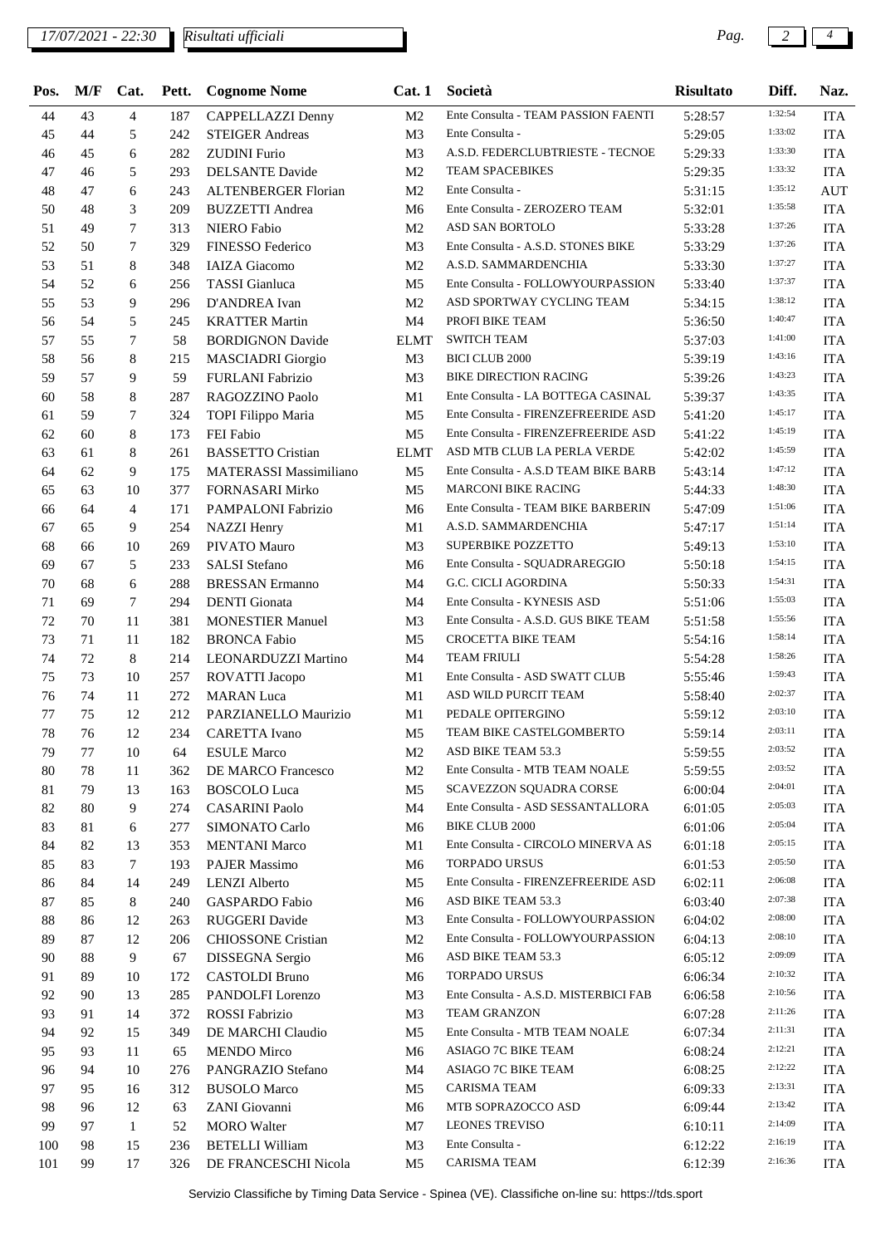## *17/07/2021 - 22:30 Pag. 2 4*

*Risultati ufficiali*

| Pos. | M/F | Cat.           |     | <b>Pett.</b> Cognome Nome     |                | Cat. 1 Società                        | <b>Risultato</b> | Diff.   | Naz.       |
|------|-----|----------------|-----|-------------------------------|----------------|---------------------------------------|------------------|---------|------------|
| 44   | 43  | $\overline{4}$ | 187 | CAPPELLAZZI Denny             | M <sub>2</sub> | Ente Consulta - TEAM PASSION FAENTI   | 5:28:57          | 1:32:54 | <b>ITA</b> |
| 45   | 44  | 5              | 242 | <b>STEIGER Andreas</b>        | M <sub>3</sub> | Ente Consulta -                       | 5:29:05          | 1:33:02 | <b>ITA</b> |
| 46   | 45  | 6              | 282 | <b>ZUDINI</b> Furio           | M <sub>3</sub> | A.S.D. FEDERCLUBTRIESTE - TECNOE      | 5:29:33          | 1:33:30 | <b>ITA</b> |
| 47   | 46  | 5              | 293 | <b>DELSANTE Davide</b>        | M <sub>2</sub> | <b>TEAM SPACEBIKES</b>                | 5:29:35          | 1:33:32 | <b>ITA</b> |
| 48   | 47  | 6              | 243 | ALTENBERGER Florian           | M <sub>2</sub> | Ente Consulta -                       | 5:31:15          | 1:35:12 | <b>AUT</b> |
| 50   | 48  | 3              | 209 | <b>BUZZETTI</b> Andrea        | M <sub>6</sub> | Ente Consulta - ZEROZERO TEAM         | 5:32:01          | 1:35:58 | <b>ITA</b> |
| 51   | 49  | 7              | 313 | <b>NIERO Fabio</b>            | M <sub>2</sub> | ASD SAN BORTOLO                       | 5:33:28          | 1:37:26 | <b>ITA</b> |
| 52   | 50  | 7              | 329 | FINESSO Federico              | M <sub>3</sub> | Ente Consulta - A.S.D. STONES BIKE    | 5:33:29          | 1:37:26 | <b>ITA</b> |
| 53   | 51  | 8              | 348 | <b>IAIZA</b> Giacomo          | M2             | A.S.D. SAMMARDENCHIA                  | 5:33:30          | 1:37:27 | <b>ITA</b> |
| 54   | 52  | 6              | 256 | <b>TASSI</b> Gianluca         | M <sub>5</sub> | Ente Consulta - FOLLOWYOURPASSION     | 5:33:40          | 1:37:37 | <b>ITA</b> |
| 55   | 53  | 9              | 296 | D'ANDREA Ivan                 | M <sub>2</sub> | ASD SPORTWAY CYCLING TEAM             | 5:34:15          | 1:38:12 | <b>ITA</b> |
| 56   | 54  | 5              | 245 | <b>KRATTER Martin</b>         | M4             | PROFI BIKE TEAM                       | 5:36:50          | 1:40:47 | <b>ITA</b> |
| 57   | 55  | 7              | 58  | <b>BORDIGNON Davide</b>       | ELMT           | <b>SWITCH TEAM</b>                    | 5:37:03          | 1:41:00 | <b>ITA</b> |
| 58   | 56  | 8              | 215 | <b>MASCIADRI</b> Giorgio      | M <sub>3</sub> | <b>BICI CLUB 2000</b>                 | 5:39:19          | 1:43:16 | <b>ITA</b> |
| 59   | 57  | 9              | 59  | <b>FURLANI Fabrizio</b>       | M <sub>3</sub> | <b>BIKE DIRECTION RACING</b>          | 5:39:26          | 1:43:23 | <b>ITA</b> |
| 60   | 58  | 8              | 287 | RAGOZZINO Paolo               | M1             | Ente Consulta - LA BOTTEGA CASINAL    | 5:39:37          | 1:43:35 | <b>ITA</b> |
| 61   | 59  | 7              | 324 | TOPI Filippo Maria            | M <sub>5</sub> | Ente Consulta - FIRENZEFREERIDE ASD   | 5:41:20          | 1:45:17 | <b>ITA</b> |
| 62   | 60  | 8              | 173 | FEI Fabio                     | M5             | Ente Consulta - FIRENZEFREERIDE ASD   | 5:41:22          | 1:45:19 | <b>ITA</b> |
| 63   | 61  | 8              | 261 | <b>BASSETTO Cristian</b>      | <b>ELMT</b>    | ASD MTB CLUB LA PERLA VERDE           | 5:42:02          | 1:45:59 | <b>ITA</b> |
| 64   | 62  | 9              | 175 | <b>MATERASSI Massimiliano</b> | M <sub>5</sub> | Ente Consulta - A.S.D TEAM BIKE BARB  | 5:43:14          | 1:47:12 | <b>ITA</b> |
| 65   | 63  | 10             | 377 | FORNASARI Mirko               | M <sub>5</sub> | <b>MARCONI BIKE RACING</b>            | 5:44:33          | 1:48:30 | <b>ITA</b> |
| 66   | 64  | $\overline{4}$ | 171 | PAMPALONI Fabrizio            | M6             | Ente Consulta - TEAM BIKE BARBERIN    | 5:47:09          | 1:51:06 | <b>ITA</b> |
| 67   | 65  | 9              | 254 | <b>NAZZI</b> Henry            | M1             | A.S.D. SAMMARDENCHIA                  | 5:47:17          | 1:51:14 | <b>ITA</b> |
| 68   | 66  | 10             | 269 | PIVATO Mauro                  | M <sub>3</sub> | <b>SUPERBIKE POZZETTO</b>             | 5:49:13          | 1:53:10 | <b>ITA</b> |
| 69   | 67  | 5              | 233 | <b>SALSI</b> Stefano          | M6             | Ente Consulta - SQUADRAREGGIO         | 5:50:18          | 1:54:15 | <b>ITA</b> |
| 70   | 68  | 6              | 288 | <b>BRESSAN Ermanno</b>        | M4             | G.C. CICLI AGORDINA                   | 5:50:33          | 1:54:31 | <b>ITA</b> |
| 71   | 69  | 7              | 294 | <b>DENTI</b> Gionata          | M4             | Ente Consulta - KYNESIS ASD           | 5:51:06          | 1:55:03 | <b>ITA</b> |
| 72   | 70  | 11             | 381 | <b>MONESTIER Manuel</b>       | M <sub>3</sub> | Ente Consulta - A.S.D. GUS BIKE TEAM  | 5:51:58          | 1:55:56 | <b>ITA</b> |
| 73   | 71  | 11             | 182 | <b>BRONCA Fabio</b>           | M5             | CROCETTA BIKE TEAM                    | 5:54:16          | 1:58:14 | <b>ITA</b> |
| 74   | 72  | 8              | 214 | LEONARDUZZI Martino           | M4             | <b>TEAM FRIULI</b>                    | 5:54:28          | 1:58:26 | <b>ITA</b> |
| 75   | 73  | 10             | 257 | ROVATTI Jacopo                | M1             | Ente Consulta - ASD SWATT CLUB        | 5:55:46          | 1:59:43 | <b>ITA</b> |
| 76   | 74  | 11             | 272 | <b>MARAN</b> Luca             | M1             | ASD WILD PURCIT TEAM                  | 5:58:40          | 2:02:37 | <b>ITA</b> |
| 77   | 75  | 12             | 212 | PARZIANELLO Maurizio          | M1             | PEDALE OPITERGINO                     |                  | 2:03:10 | <b>ITA</b> |
|      |     |                |     |                               |                | TEAM BIKE CASTELGOMBERTO              | 5:59:12          | 2:03:11 |            |
| 78   | 76  | 12             | 234 | CARETTA Ivano                 | M5             | ASD BIKE TEAM 53.3                    | 5:59:14          | 2:03:52 | <b>ITA</b> |
| 79   | 77  | 10             | 64  | <b>ESULE Marco</b>            | M2             |                                       | 5:59:55          | 2:03:52 | <b>ITA</b> |
| 80   | 78  | 11             | 362 | DE MARCO Francesco            | M <sub>2</sub> | Ente Consulta - MTB TEAM NOALE        | 5:59:55          | 2:04:01 | <b>ITA</b> |
| 81   | 79  | 13             | 163 | <b>BOSCOLO</b> Luca           | M <sub>5</sub> | <b>SCAVEZZON SQUADRA CORSE</b>        | 6:00:04          | 2:05:03 | <b>ITA</b> |
| 82   | 80  | 9              | 274 | <b>CASARINI Paolo</b>         | M4             | Ente Consulta - ASD SESSANTALLORA     | 6:01:05          | 2:05:04 | <b>ITA</b> |
| 83   | 81  | 6              | 277 | SIMONATO Carlo                | M <sub>6</sub> | <b>BIKE CLUB 2000</b>                 | 6:01:06          | 2:05:15 | <b>ITA</b> |
| 84   | 82  | 13             | 353 | <b>MENTANI Marco</b>          | M1             | Ente Consulta - CIRCOLO MINERVA AS    | 6:01:18          | 2:05:50 | <b>ITA</b> |
| 85   | 83  | 7              | 193 | <b>PAJER Massimo</b>          | M <sub>6</sub> | <b>TORPADO URSUS</b>                  | 6:01:53          | 2:06:08 | <b>ITA</b> |
| 86   | 84  | 14             | 249 | <b>LENZI</b> Alberto          | M <sub>5</sub> | Ente Consulta - FIRENZEFREERIDE ASD   | 6:02:11          | 2:07:38 | <b>ITA</b> |
| 87   | 85  | 8              | 240 | GASPARDO Fabio                | M6             | ASD BIKE TEAM 53.3                    | 6:03:40          |         | <b>ITA</b> |
| 88   | 86  | 12             | 263 | RUGGERI Davide                | M <sub>3</sub> | Ente Consulta - FOLLOWYOURPASSION     | 6:04:02          | 2:08:00 | <b>ITA</b> |
| 89   | 87  | 12             | 206 | <b>CHIOSSONE</b> Cristian     | M <sub>2</sub> | Ente Consulta - FOLLOWYOURPASSION     | 6:04:13          | 2:08:10 | <b>ITA</b> |
| 90   | 88  | 9              | 67  | DISSEGNA Sergio               | M6             | ASD BIKE TEAM 53.3                    | 6:05:12          | 2:09:09 | <b>ITA</b> |
| 91   | 89  | 10             | 172 | <b>CASTOLDI</b> Bruno         | M6             | <b>TORPADO URSUS</b>                  | 6:06:34          | 2:10:32 | <b>ITA</b> |
| 92   | 90  | 13             | 285 | PANDOLFI Lorenzo              | M <sub>3</sub> | Ente Consulta - A.S.D. MISTERBICI FAB | 6:06:58          | 2:10:56 | <b>ITA</b> |
| 93   | 91  | 14             | 372 | ROSSI Fabrizio                | M <sub>3</sub> | <b>TEAM GRANZON</b>                   | 6:07:28          | 2:11:26 | <b>ITA</b> |
| 94   | 92  | 15             | 349 | DE MARCHI Claudio             | M <sub>5</sub> | Ente Consulta - MTB TEAM NOALE        | 6:07:34          | 2:11:31 | <b>ITA</b> |
| 95   | 93  | 11             | 65  | <b>MENDO</b> Mirco            | M <sub>6</sub> | ASIAGO 7C BIKE TEAM                   | 6:08:24          | 2:12:21 | <b>ITA</b> |
| 96   | 94  | 10             | 276 | PANGRAZIO Stefano             | M4             | ASIAGO 7C BIKE TEAM                   | 6:08:25          | 2:12:22 | <b>ITA</b> |
| 97   | 95  | 16             | 312 | <b>BUSOLO</b> Marco           | M <sub>5</sub> | CARISMA TEAM                          | 6:09:33          | 2:13:31 | <b>ITA</b> |
| 98   | 96  | 12             | 63  | ZANI Giovanni                 | M6             | MTB SOPRAZOCCO ASD                    | 6:09:44          | 2:13:42 | <b>ITA</b> |
| 99   | 97  | $\mathbf{1}$   | 52  | <b>MORO</b> Walter            | M7             | <b>LEONES TREVISO</b>                 | 6:10:11          | 2:14:09 | <b>ITA</b> |
| 100  | 98  | 15             | 236 | <b>BETELLI William</b>        | M <sub>3</sub> | Ente Consulta -                       | 6:12:22          | 2:16:19 | <b>ITA</b> |
| 101  | 99  | 17             | 326 | DE FRANCESCHI Nicola          | M5             | <b>CARISMA TEAM</b>                   | 6:12:39          | 2:16:36 | <b>ITA</b> |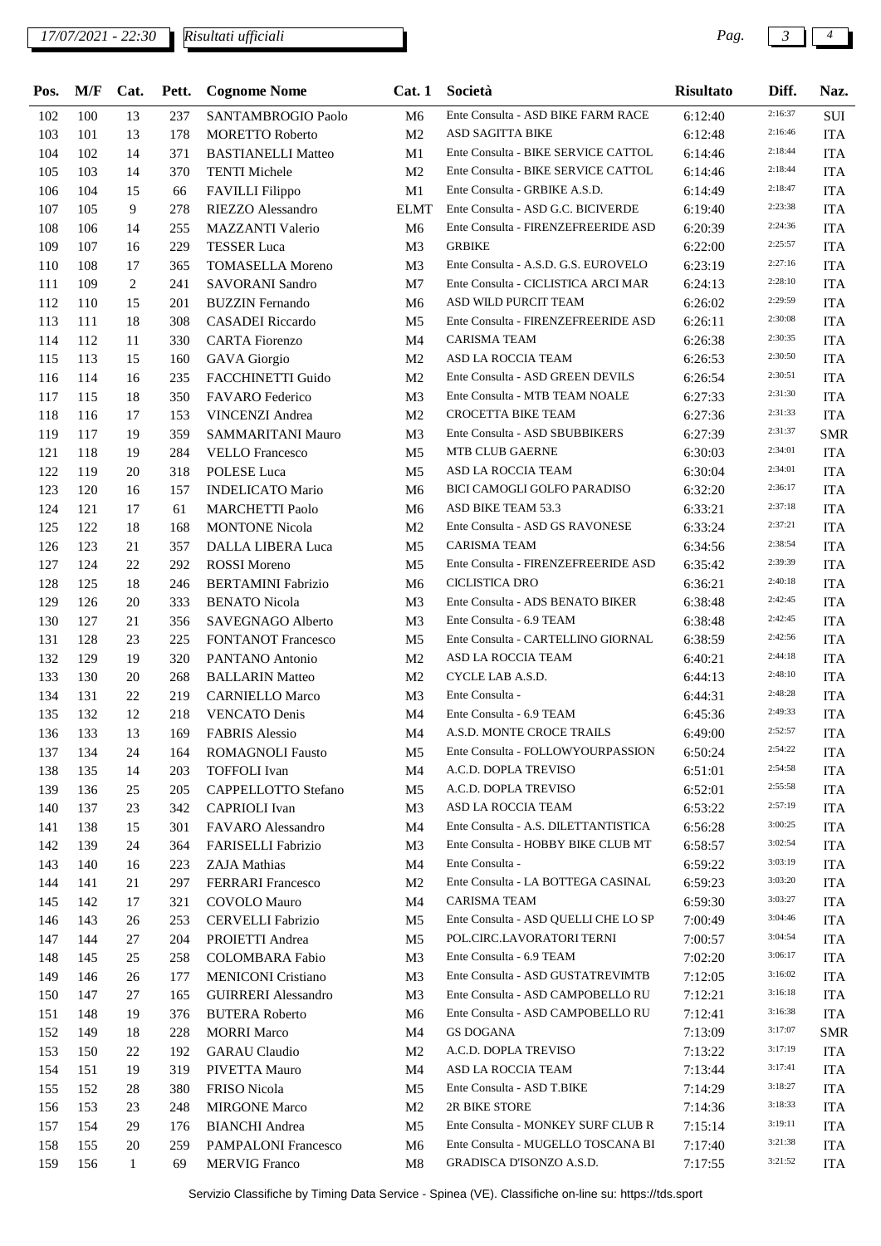## *17/07/2021 - 22:30 Pag. 3 4*

*Risultati ufficiali*

| Pos. | M/F | Cat.         | Pett. | <b>Cognome Nome</b>        |                | Cat. 1 Società                                                 | <b>Risultato</b>   | Diff.   | Naz.       |
|------|-----|--------------|-------|----------------------------|----------------|----------------------------------------------------------------|--------------------|---------|------------|
| 102  | 100 | 13           | 237   | SANTAMBROGIO Paolo         | M <sub>6</sub> | Ente Consulta - ASD BIKE FARM RACE                             | 6:12:40            | 2:16:37 | SUI        |
| 103  | 101 | 13           | 178   | <b>MORETTO Roberto</b>     | M <sub>2</sub> | ASD SAGITTA BIKE                                               | 6:12:48            | 2:16:46 | <b>ITA</b> |
| 104  | 102 | 14           | 371   | <b>BASTIANELLI Matteo</b>  | M1             | Ente Consulta - BIKE SERVICE CATTOL                            | 6:14:46            | 2:18:44 | <b>ITA</b> |
| 105  | 103 | 14           | 370   | <b>TENTI Michele</b>       | M <sub>2</sub> | Ente Consulta - BIKE SERVICE CATTOL                            | 6:14:46            | 2:18:44 | <b>ITA</b> |
| 106  | 104 | 15           | 66    | <b>FAVILLI</b> Filippo     | M1             | Ente Consulta - GRBIKE A.S.D.                                  | 6:14:49            | 2:18:47 | <b>ITA</b> |
| 107  | 105 | 9            | 278   | RIEZZO Alessandro          | ELMT           | Ente Consulta - ASD G.C. BICIVERDE                             | 6:19:40            | 2:23:38 | <b>ITA</b> |
| 108  | 106 | 14           | 255   | <b>MAZZANTI Valerio</b>    | M <sub>6</sub> | Ente Consulta - FIRENZEFREERIDE ASD                            | 6:20:39            | 2:24:36 | <b>ITA</b> |
| 109  | 107 | 16           | 229   | <b>TESSER Luca</b>         | M <sub>3</sub> | <b>GRBIKE</b>                                                  | 6:22:00            | 2:25:57 | <b>ITA</b> |
| 110  | 108 | 17           | 365   | <b>TOMASELLA Moreno</b>    | M <sub>3</sub> | Ente Consulta - A.S.D. G.S. EUROVELO                           | 6:23:19            | 2:27:16 | <b>ITA</b> |
| 111  | 109 | 2            | 241   | <b>SAVORANI</b> Sandro     | M7             | Ente Consulta - CICLISTICA ARCI MAR                            | 6:24:13            | 2:28:10 | <b>ITA</b> |
| 112  | 110 | 15           | 201   | <b>BUZZIN</b> Fernando     | M6             | ASD WILD PURCIT TEAM                                           | 6:26:02            | 2:29:59 | <b>ITA</b> |
| 113  | 111 | 18           | 308   | CASADEI Riccardo           | M5             | Ente Consulta - FIRENZEFREERIDE ASD                            | 6:26:11            | 2:30:08 | <b>ITA</b> |
| 114  | 112 | 11           | 330   | <b>CARTA</b> Fiorenzo      | M4             | <b>CARISMA TEAM</b>                                            | 6:26:38            | 2:30:35 | <b>ITA</b> |
| 115  | 113 | 15           | 160   | <b>GAVA</b> Giorgio        | M <sub>2</sub> | ASD LA ROCCIA TEAM                                             | 6:26:53            | 2:30:50 | <b>ITA</b> |
| 116  | 114 | 16           | 235   | FACCHINETTI Guido          | M <sub>2</sub> | Ente Consulta - ASD GREEN DEVILS                               | 6:26:54            | 2:30:51 | <b>ITA</b> |
| 117  | 115 | 18           | 350   | FAVARO Federico            | M <sub>3</sub> | Ente Consulta - MTB TEAM NOALE                                 | 6:27:33            | 2:31:30 | <b>ITA</b> |
| 118  | 116 | 17           | 153   | <b>VINCENZI Andrea</b>     | M <sub>2</sub> | <b>CROCETTA BIKE TEAM</b>                                      | 6:27:36            | 2:31:33 | <b>ITA</b> |
| 119  | 117 | 19           | 359   | SAMMARITANI Mauro          | M <sub>3</sub> | Ente Consulta - ASD SBUBBIKERS                                 | 6:27:39            | 2:31:37 | <b>SMR</b> |
| 121  | 118 | 19           | 284   | <b>VELLO</b> Francesco     | M <sub>5</sub> | <b>MTB CLUB GAERNE</b>                                         | 6:30:03            | 2:34:01 | <b>ITA</b> |
| 122  | 119 | 20           | 318   | <b>POLESE</b> Luca         | M5             | ASD LA ROCCIA TEAM                                             | 6:30:04            | 2:34:01 | <b>ITA</b> |
| 123  | 120 | 16           | 157   | <b>INDELICATO Mario</b>    | M <sub>6</sub> | BICI CAMOGLI GOLFO PARADISO                                    | 6:32:20            | 2:36:17 | <b>ITA</b> |
| 124  | 121 | 17           | 61    | <b>MARCHETTI Paolo</b>     | M <sub>6</sub> | ASD BIKE TEAM 53.3                                             | 6:33:21            | 2:37:18 | <b>ITA</b> |
| 125  | 122 | 18           | 168   | <b>MONTONE Nicola</b>      | M <sub>2</sub> | Ente Consulta - ASD GS RAVONESE                                | 6:33:24            | 2:37:21 | <b>ITA</b> |
| 126  | 123 | 21           | 357   | DALLA LIBERA Luca          | M <sub>5</sub> | <b>CARISMA TEAM</b>                                            | 6:34:56            | 2:38:54 | <b>ITA</b> |
| 127  | 124 | 22           | 292   | <b>ROSSI</b> Moreno        | M <sub>5</sub> | Ente Consulta - FIRENZEFREERIDE ASD                            | 6:35:42            | 2:39:39 | <b>ITA</b> |
| 128  | 125 | 18           | 246   | <b>BERTAMINI Fabrizio</b>  | M <sub>6</sub> | CICLISTICA DRO                                                 | 6:36:21            | 2:40:18 | <b>ITA</b> |
| 129  | 126 | 20           | 333   | <b>BENATO</b> Nicola       | M <sub>3</sub> | Ente Consulta - ADS BENATO BIKER                               | 6:38:48            | 2:42:45 | <b>ITA</b> |
| 130  | 127 | 21           | 356   | SAVEGNAGO Alberto          | M <sub>3</sub> | Ente Consulta - 6.9 TEAM                                       | 6:38:48            | 2:42:45 | <b>ITA</b> |
| 131  | 128 | 23           | 225   | <b>FONTANOT Francesco</b>  | M5             | Ente Consulta - CARTELLINO GIORNAL                             | 6:38:59            | 2:42:56 | <b>ITA</b> |
| 132  | 129 | 19           | 320   | PANTANO Antonio            | M <sub>2</sub> | ASD LA ROCCIA TEAM                                             | 6:40:21            | 2:44:18 | <b>ITA</b> |
| 133  | 130 | 20           | 268   | <b>BALLARIN Matteo</b>     | M <sub>2</sub> | CYCLE LAB A.S.D.                                               | 6:44:13            | 2:48:10 | <b>ITA</b> |
| 134  | 131 | 22           | 219   |                            | M <sub>3</sub> | Ente Consulta -                                                |                    | 2:48:28 | <b>ITA</b> |
| 135  | 132 | 12           | 218   | <b>CARNIELLO Marco</b>     | M4             | Ente Consulta - 6.9 TEAM                                       | 6:44:31<br>6:45:36 | 2:49:33 | <b>ITA</b> |
|      |     |              |       | <b>VENCATO</b> Denis       |                |                                                                |                    | 2:52:57 |            |
| 136  | 133 | 13           | 169   | <b>FABRIS Alessio</b>      | M4             | A.S.D. MONTE CROCE TRAILS<br>Ente Consulta - FOLLOWYOURPASSION | 6:49:00            | 2:54:22 | <b>ITA</b> |
| 137  | 134 | 24           | 164   | <b>ROMAGNOLI Fausto</b>    | M5             |                                                                | 6:50:24            | 2:54:58 | <b>ITA</b> |
| 138  | 135 | 14           | 203   | <b>TOFFOLI</b> Ivan        | M4             | A.C.D. DOPLA TREVISO                                           | 6:51:01            | 2:55:58 | <b>ITA</b> |
| 139  | 136 | 25           | 205   | CAPPELLOTTO Stefano        | M5             | A.C.D. DOPLA TREVISO                                           | 6:52:01            | 2:57:19 | <b>ITA</b> |
| 140  | 137 | 23           | 342   | <b>CAPRIOLI</b> Ivan       | M3             | ASD LA ROCCIA TEAM                                             | 6:53:22            | 3:00:25 | <b>ITA</b> |
| 141  | 138 | 15           | 301   | FAVARO Alessandro          | M4             | Ente Consulta - A.S. DILETTANTISTICA                           | 6:56:28            | 3:02:54 | <b>ITA</b> |
| 142  | 139 | 24           | 364   | FARISELLI Fabrizio         | M <sub>3</sub> | Ente Consulta - HOBBY BIKE CLUB MT                             | 6:58:57            | 3:03:19 | <b>ITA</b> |
| 143  | 140 | 16           | 223   | ZAJA Mathias               | M4             | Ente Consulta -                                                | 6:59:22            |         | <b>ITA</b> |
| 144  | 141 | 21           | 297   | <b>FERRARI</b> Francesco   | M <sub>2</sub> | Ente Consulta - LA BOTTEGA CASINAL                             | 6:59:23            | 3:03:20 | <b>ITA</b> |
| 145  | 142 | 17           | 321   | COVOLO Mauro               | M4             | <b>CARISMA TEAM</b>                                            | 6:59:30            | 3:03:27 | <b>ITA</b> |
| 146  | 143 | 26           | 253   | CERVELLI Fabrizio          | M5             | Ente Consulta - ASD QUELLI CHE LO SP                           | 7:00:49            | 3:04:46 | <b>ITA</b> |
| 147  | 144 | 27           | 204   | PROIETTI Andrea            | M5             | POL.CIRC.LAVORATORI TERNI                                      | 7:00:57            | 3:04:54 | <b>ITA</b> |
| 148  | 145 | 25           | 258   | <b>COLOMBARA</b> Fabio     | M <sub>3</sub> | Ente Consulta - 6.9 TEAM                                       | 7:02:20            | 3:06:17 | <b>ITA</b> |
| 149  | 146 | 26           | 177   | <b>MENICONI Cristiano</b>  | M <sub>3</sub> | Ente Consulta - ASD GUSTATREVIMTB                              | 7:12:05            | 3:16:02 | <b>ITA</b> |
| 150  | 147 | 27           | 165   | <b>GUIRRERI</b> Alessandro | M3             | Ente Consulta - ASD CAMPOBELLO RU                              | 7:12:21            | 3:16:18 | <b>ITA</b> |
| 151  | 148 | 19           | 376   | <b>BUTERA Roberto</b>      | M6             | Ente Consulta - ASD CAMPOBELLO RU                              | 7:12:41            | 3:16:38 | <b>ITA</b> |
| 152  | 149 | 18           | 228   | <b>MORRI Marco</b>         | M4             | <b>GS DOGANA</b>                                               | 7:13:09            | 3:17:07 | <b>SMR</b> |
| 153  | 150 | 22           | 192   | <b>GARAU</b> Claudio       | M <sub>2</sub> | A.C.D. DOPLA TREVISO                                           | 7:13:22            | 3:17:19 | <b>ITA</b> |
| 154  | 151 | 19           | 319   | PIVETTA Mauro              | M4             | ASD LA ROCCIA TEAM                                             | 7:13:44            | 3:17:41 | <b>ITA</b> |
| 155  | 152 | 28           | 380   | <b>FRISO</b> Nicola        | M5             | Ente Consulta - ASD T.BIKE                                     | 7:14:29            | 3:18:27 | <b>ITA</b> |
| 156  | 153 | 23           | 248   | <b>MIRGONE Marco</b>       | M <sub>2</sub> | 2R BIKE STORE                                                  | 7:14:36            | 3:18:33 | <b>ITA</b> |
| 157  | 154 | 29           | 176   | <b>BIANCHI</b> Andrea      | M <sub>5</sub> | Ente Consulta - MONKEY SURF CLUB R                             | 7:15:14            | 3:19:11 | <b>ITA</b> |
| 158  | 155 | 20           | 259   | PAMPALONI Francesco        | M6             | Ente Consulta - MUGELLO TOSCANA BI                             | 7:17:40            | 3:21:38 | <b>ITA</b> |
| 159  | 156 | $\mathbf{1}$ | 69    | <b>MERVIG Franco</b>       | M8             | GRADISCA D'ISONZO A.S.D.                                       | 7:17:55            | 3:21:52 | ITA        |